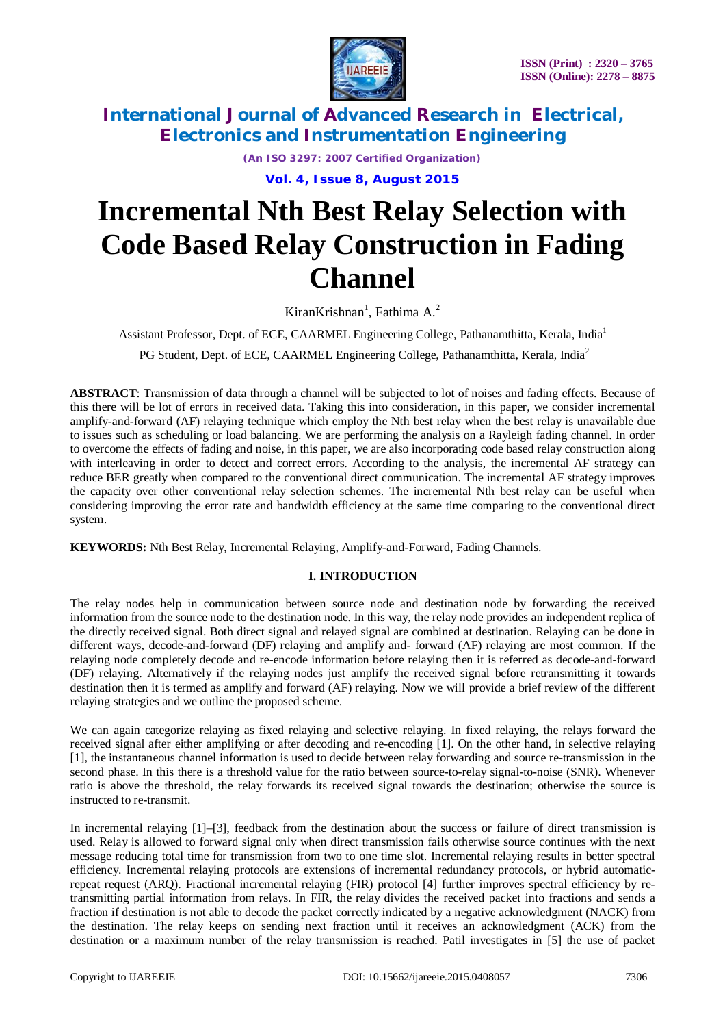

*(An ISO 3297: 2007 Certified Organization)*

**Vol. 4, Issue 8, August 2015**

# **Incremental Nth Best Relay Selection with Code Based Relay Construction in Fading Channel**

KiranKrishnan<sup>1</sup>, Fathima A.<sup>2</sup>

Assistant Professor, Dept. of ECE, CAARMEL Engineering College, Pathanamthitta, Kerala, India<sup>1</sup>

PG Student, Dept. of ECE, CAARMEL Engineering College, Pathanamthitta, Kerala, India<sup>2</sup>

**ABSTRACT**: Transmission of data through a channel will be subjected to lot of noises and fading effects. Because of this there will be lot of errors in received data. Taking this into consideration, in this paper, we consider incremental amplify-and-forward (AF) relaying technique which employ the Nth best relay when the best relay is unavailable due to issues such as scheduling or load balancing. We are performing the analysis on a Rayleigh fading channel. In order to overcome the effects of fading and noise, in this paper, we are also incorporating code based relay construction along with interleaving in order to detect and correct errors. According to the analysis, the incremental AF strategy can reduce BER greatly when compared to the conventional direct communication. The incremental AF strategy improves the capacity over other conventional relay selection schemes. The incremental Nth best relay can be useful when considering improving the error rate and bandwidth efficiency at the same time comparing to the conventional direct system.

**KEYWORDS:** Nth Best Relay, Incremental Relaying, Amplify-and-Forward, Fading Channels.

#### **I. INTRODUCTION**

The relay nodes help in communication between source node and destination node by forwarding the received information from the source node to the destination node. In this way, the relay node provides an independent replica of the directly received signal. Both direct signal and relayed signal are combined at destination. Relaying can be done in different ways, decode-and-forward (DF) relaying and amplify and- forward (AF) relaying are most common. If the relaying node completely decode and re-encode information before relaying then it is referred as decode-and-forward (DF) relaying. Alternatively if the relaying nodes just amplify the received signal before retransmitting it towards destination then it is termed as amplify and forward (AF) relaying. Now we will provide a brief review of the different relaying strategies and we outline the proposed scheme.

We can again categorize relaying as fixed relaying and selective relaying. In fixed relaying, the relays forward the received signal after either amplifying or after decoding and re-encoding [1]. On the other hand, in selective relaying [1], the instantaneous channel information is used to decide between relay forwarding and source re-transmission in the second phase. In this there is a threshold value for the ratio between source-to-relay signal-to-noise (SNR). Whenever ratio is above the threshold, the relay forwards its received signal towards the destination; otherwise the source is instructed to re-transmit.

In incremental relaying [1]–[3], feedback from the destination about the success or failure of direct transmission is used. Relay is allowed to forward signal only when direct transmission fails otherwise source continues with the next message reducing total time for transmission from two to one time slot. Incremental relaying results in better spectral efficiency. Incremental relaying protocols are extensions of incremental redundancy protocols, or hybrid automaticrepeat request (ARQ). Fractional incremental relaying (FIR) protocol [4] further improves spectral efficiency by retransmitting partial information from relays. In FIR, the relay divides the received packet into fractions and sends a fraction if destination is not able to decode the packet correctly indicated by a negative acknowledgment (NACK) from the destination. The relay keeps on sending next fraction until it receives an acknowledgment (ACK) from the destination or a maximum number of the relay transmission is reached. Patil investigates in [5] the use of packet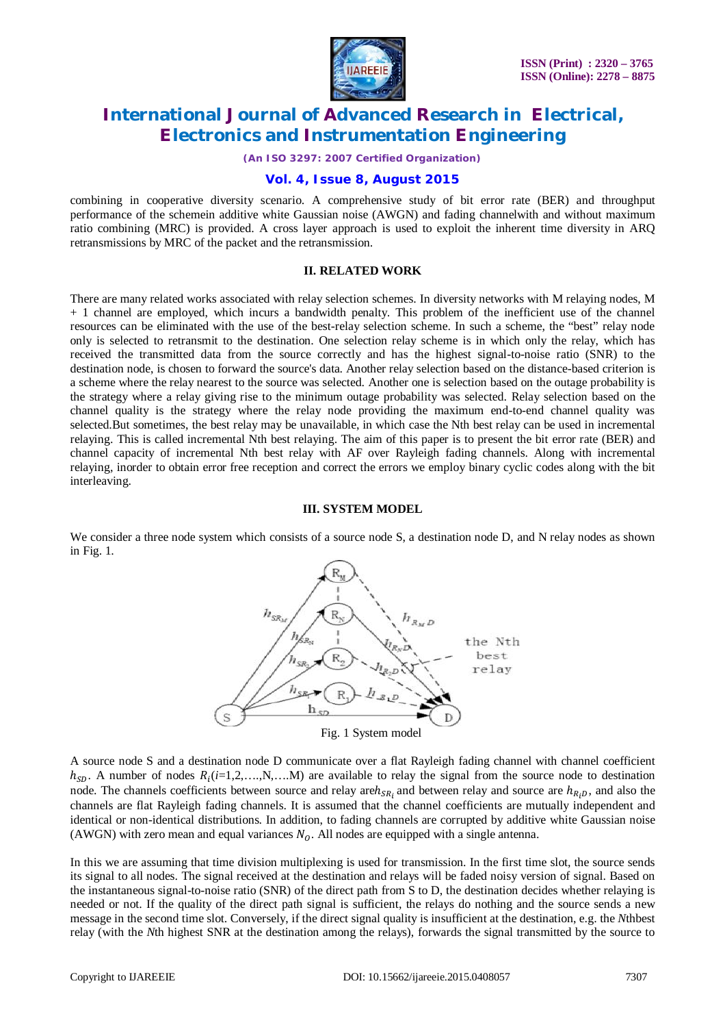

*(An ISO 3297: 2007 Certified Organization)*

#### **Vol. 4, Issue 8, August 2015**

combining in cooperative diversity scenario. A comprehensive study of bit error rate (BER) and throughput performance of the schemein additive white Gaussian noise (AWGN) and fading channelwith and without maximum ratio combining (MRC) is provided. A cross layer approach is used to exploit the inherent time diversity in ARQ retransmissions by MRC of the packet and the retransmission.

#### **II. RELATED WORK**

There are many related works associated with relay selection schemes. In diversity networks with M relaying nodes, M + 1 channel are employed, which incurs a bandwidth penalty. This problem of the inefficient use of the channel resources can be eliminated with the use of the best-relay selection scheme. In such a scheme, the "best" relay node only is selected to retransmit to the destination. One selection relay scheme is in which only the relay, which has received the transmitted data from the source correctly and has the highest signal-to-noise ratio (SNR) to the destination node, is chosen to forward the source's data. Another relay selection based on the distance-based criterion is a scheme where the relay nearest to the source was selected. Another one is selection based on the outage probability is the strategy where a relay giving rise to the minimum outage probability was selected. Relay selection based on the channel quality is the strategy where the relay node providing the maximum end-to-end channel quality was selected.But sometimes, the best relay may be unavailable, in which case the Nth best relay can be used in incremental relaying. This is called incremental Nth best relaying. The aim of this paper is to present the bit error rate (BER) and channel capacity of incremental Nth best relay with AF over Rayleigh fading channels. Along with incremental relaying, inorder to obtain error free reception and correct the errors we employ binary cyclic codes along with the bit interleaving.

#### **III. SYSTEM MODEL**

We consider a three node system which consists of a source node S, a destination node D, and N relay nodes as shown in Fig. 1.



A source node S and a destination node D communicate over a flat Rayleigh fading channel with channel coefficient  $h_{SD}$ . A number of nodes  $R_i$  ( $i=1,2,...,N,...M$ ) are available to relay the signal from the source node to destination node. The channels coefficients between source and relay are  $h_{SR}$  and between relay and source are  $h_{R_iD}$ , and also the channels are flat Rayleigh fading channels. It is assumed that the channel coefficients are mutually independent and identical or non-identical distributions. In addition, to fading channels are corrupted by additive white Gaussian noise (AWGN) with zero mean and equal variances  $N<sub>o</sub>$ . All nodes are equipped with a single antenna.

In this we are assuming that time division multiplexing is used for transmission. In the first time slot, the source sends its signal to all nodes. The signal received at the destination and relays will be faded noisy version of signal. Based on the instantaneous signal-to-noise ratio (SNR) of the direct path from S to D, the destination decides whether relaying is needed or not. If the quality of the direct path signal is sufficient, the relays do nothing and the source sends a new message in the second time slot. Conversely, if the direct signal quality is insufficient at the destination, e.g. the *N*thbest relay (with the *N*th highest SNR at the destination among the relays), forwards the signal transmitted by the source to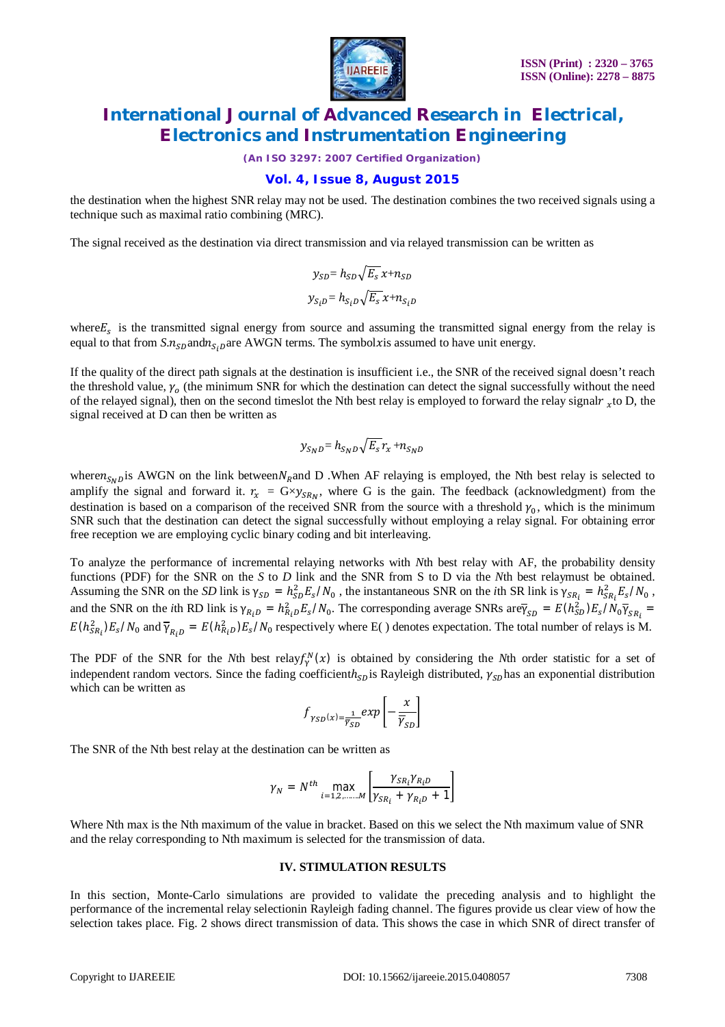

*(An ISO 3297: 2007 Certified Organization)*

### **Vol. 4, Issue 8, August 2015**

the destination when the highest SNR relay may not be used. The destination combines the two received signals using a technique such as maximal ratio combining (MRC).

The signal received as the destination via direct transmission and via relayed transmission can be written as

$$
y_{SD} = h_{SD} \sqrt{E_s} x + n_{SD}
$$

$$
y_{S_iD} = h_{S_iD} \sqrt{E_s} x + n_{S_iD}
$$

where $E_s$  is the transmitted signal energy from source and assuming the transmitted signal energy from the relay is equal to that from  $S.n_{SD}$ and $n_{S,DB}$ are AWGN terms. The symbolxis assumed to have unit energy.

If the quality of the direct path signals at the destination is insufficient i.e., the SNR of the received signal doesn't reach the threshold value,  $\gamma_o$  (the minimum SNR for which the destination can detect the signal successfully without the need of the relayed signal), then on the second timeslot the Nth best relay is employed to forward the relay signal $r_x$  to D, the signal received at D can then be written as

$$
y_{S_ND} = h_{S_ND} \sqrt{E_s} r_x + n_{S_ND}
$$

where $n_{SND}$  is AWGN on the link between  $N_R$  and D . When AF relaying is employed, the Nth best relay is selected to amplify the signal and forward it.  $r_x = G \times y_{SR_N}$ , where G is the gain. The feedback (acknowledgment) from the destination is based on a comparison of the received SNR from the source with a threshold  $\gamma_0$ , which is the minimum SNR such that the destination can detect the signal successfully without employing a relay signal. For obtaining error free reception we are employing cyclic binary coding and bit interleaving.

To analyze the performance of incremental relaying networks with *N*th best relay with AF, the probability density functions (PDF) for the SNR on the *S* to *D* link and the SNR from S to D via the *N*th best relaymust be obtained. Assuming the SNR on the *SD* link is  $\gamma_{SD} = h_{SD}^2 E_s / N_0$ , the instantaneous SNR on the *i*th SR link is  $\gamma_{SR_i} = h_{SR_i}^2 E_s / N_0$ , and the SNR on the *i*th RD link is  $\gamma_{R_i} = h_{R_i}^2 E_s / N_0$ . The corresponding average SNRs are $\bar{\gamma}_{SD} = E(h_{SD}^2) E_s / N_0 \bar{\gamma}_{SR_i}$  $E(h_{SR_i}^2)E_s/N_0$  and  $\overline{Y}_{R_iD} = E(h_{R_iD}^2)E_s/N_0$  respectively where E() denotes expectation. The total number of relays is M.

The PDF of the SNR for the *N*th best relay $f_Y^N(x)$  is obtained by considering the *N*th order statistic for a set of independent random vectors. Since the fading coefficienth<sub>sp</sub> is Rayleigh distributed,  $\gamma_{\rm SD}$ has an exponential distribution which can be written as

$$
f_{\gamma_{SD}(x)=\frac{1}{\overline{\gamma}_{SD}}} \exp\left[-\frac{x}{\overline{\gamma}_{SD}}\right]
$$

The SNR of the Nth best relay at the destination can be written as

$$
\gamma_N = N^{th} \max_{i=1,2,\dots,M} \left[ \frac{\gamma_{SR_i} \gamma_{R_i D}}{\gamma_{SR_i} + \gamma_{R_i D} + 1} \right]
$$

Where Nth max is the Nth maximum of the value in bracket. Based on this we select the Nth maximum value of SNR and the relay corresponding to Nth maximum is selected for the transmission of data.

#### **IV. STIMULATION RESULTS**

In this section, Monte-Carlo simulations are provided to validate the preceding analysis and to highlight the performance of the incremental relay selectionin Rayleigh fading channel. The figures provide us clear view of how the selection takes place. Fig. 2 shows direct transmission of data. This shows the case in which SNR of direct transfer of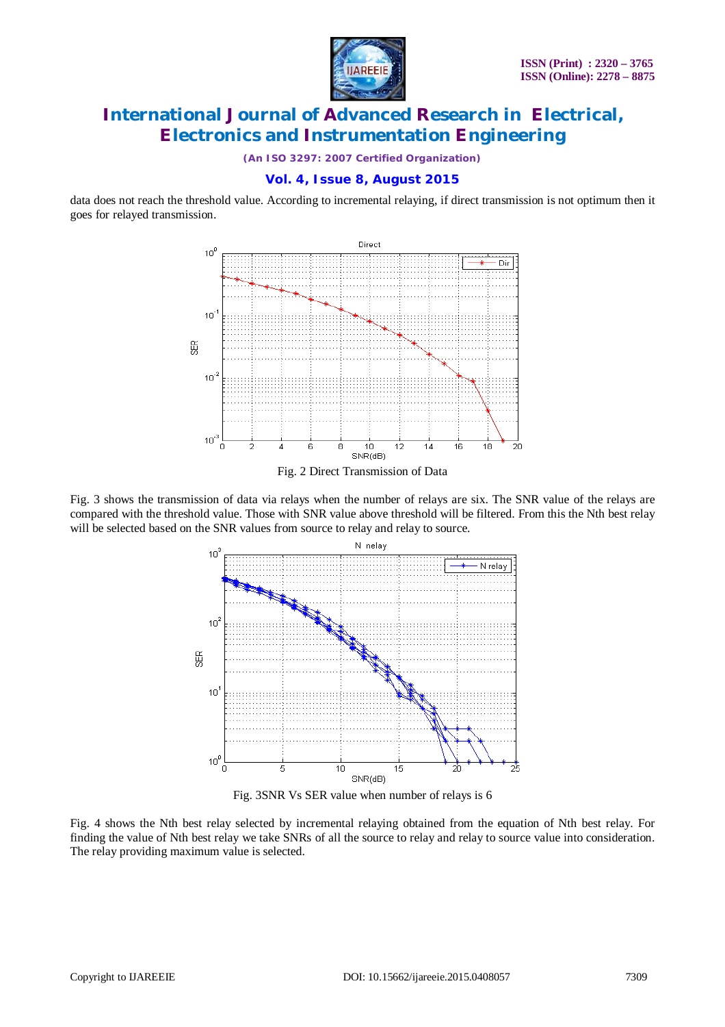

*(An ISO 3297: 2007 Certified Organization)*

### **Vol. 4, Issue 8, August 2015**

data does not reach the threshold value. According to incremental relaying, if direct transmission is not optimum then it goes for relayed transmission.



Fig. 2 Direct Transmission of Data

Fig. 3 shows the transmission of data via relays when the number of relays are six. The SNR value of the relays are compared with the threshold value. Those with SNR value above threshold will be filtered. From this the Nth best relay will be selected based on the SNR values from source to relay and relay to source.



Fig. 3SNR Vs SER value when number of relays is 6

Fig. 4 shows the Nth best relay selected by incremental relaying obtained from the equation of Nth best relay. For finding the value of Nth best relay we take SNRs of all the source to relay and relay to source value into consideration. The relay providing maximum value is selected.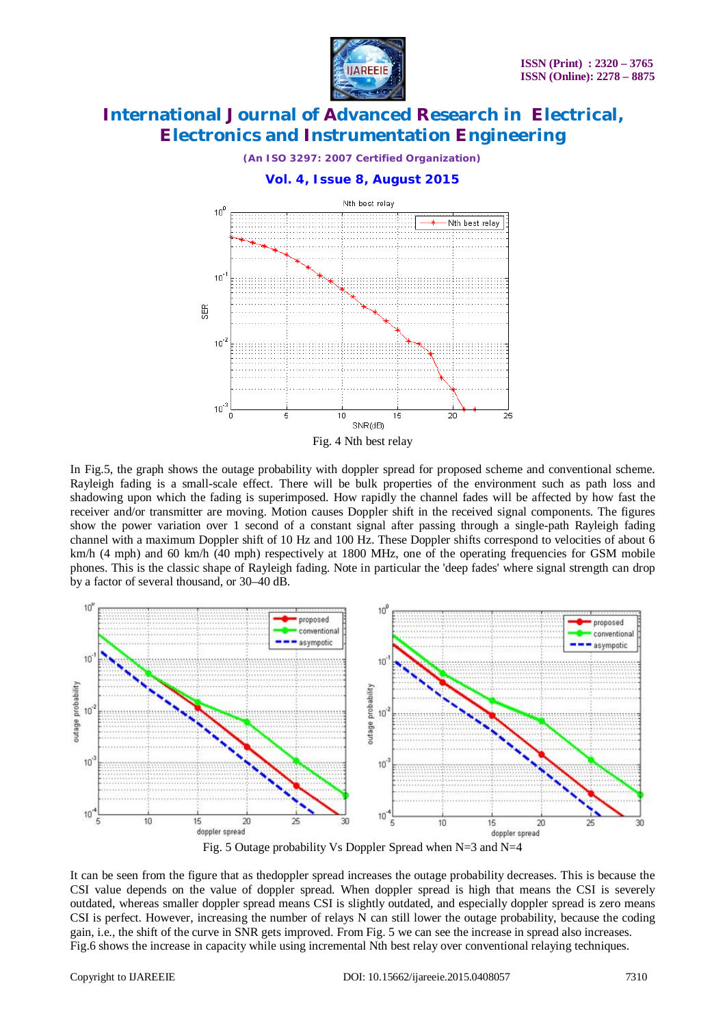



In Fig.5, the graph shows the outage probability with doppler spread for proposed scheme and conventional scheme. Rayleigh fading is a small-scale effect. There will be bulk properties of the environment such as path loss and shadowing upon which the fading is superimposed. How rapidly the channel fades will be affected by how fast the receiver and/or transmitter are moving. Motion causes Doppler shift in the received signal components. The figures show the power variation over 1 second of a constant signal after passing through a single-path Rayleigh fading channel with a maximum Doppler shift of 10 Hz and 100 Hz. These Doppler shifts correspond to velocities of about 6 km/h (4 mph) and 60 km/h (40 mph) respectively at 1800 MHz, one of the operating frequencies for GSM mobile phones. This is the classic shape of Rayleigh fading. Note in particular the 'deep fades' where signal strength can drop by a factor of several thousand, or 30–40 dB.



Fig. 5 Outage probability Vs Doppler Spread when N=3 and N=4

It can be seen from the figure that as thedoppler spread increases the outage probability decreases. This is because the CSI value depends on the value of doppler spread. When doppler spread is high that means the CSI is severely outdated, whereas smaller doppler spread means CSI is slightly outdated, and especially doppler spread is zero means CSI is perfect. However, increasing the number of relays N can still lower the outage probability, because the coding gain, i.e., the shift of the curve in SNR gets improved. From Fig. 5 we can see the increase in spread also increases. Fig.6 shows the increase in capacity while using incremental Nth best relay over conventional relaying techniques.